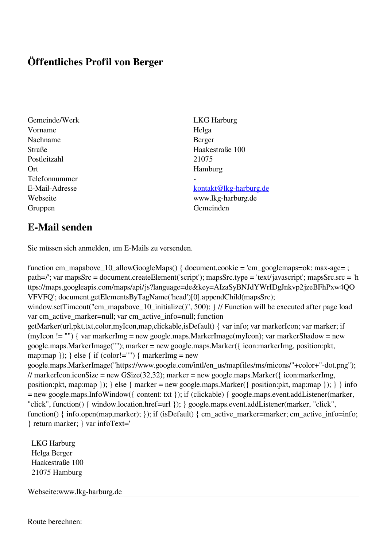## **Öffentliches Profil von Berger**

- Gemeinde/Werk LKG Harburg Vorname Helga Nachname Berger Straße Haakestraße 100 Postleitzahl 21075 Ort Hamburg Telefonnummer - Gruppen Gemeinden Gemeinden Gemeinden Gemeinden Gemeinden Gemeinden Gemeinden Gemeinden Gemeinden Gemeinden G
	-

## E-Mail-Adresse [kontakt@lkg-harburg.de](mailto:kontakt@lkg-harburg.de)

Webseite www.lkg-harburg.de

## **E-Mail senden**

Sie müssen sich anmelden, um E-Mails zu versenden.

function cm\_mapabove\_10\_allowGoogleMaps() { document.cookie = 'cm\_googlemaps=ok; max-age= ; path=/'; var mapsSrc = document.createElement('script'); mapsSrc.type = 'text/javascript'; mapsSrc.src = 'h ttps://maps.googleapis.com/maps/api/js?language=de&key=AIzaSyBNJdYWrIDgJnkvp2jzeBFhPxw4QO VFVFQ'; document.getElementsByTagName('head')[0].appendChild(mapsSrc); window.setTimeout("cm\_mapabove\_10\_initialize()", 500); } // Function will be executed after page load var cm\_active\_marker=null; var cm\_active\_info=null; function getMarker(url,pkt,txt,color,myIcon,map,clickable,isDefault) { var info; var markerIcon; var marker; if (myIcon != "") { var markerImg = new google.maps.MarkerImage(myIcon); var markerShadow = new google.maps.MarkerImage(""); marker = new google.maps.Marker({ icon:markerImg, position:pkt, map:map  $\}$ ;  $\}$  else  $\{$  if (color!="")  $\{$  markerImg = new google.maps.MarkerImage("https://www.google.com/intl/en\_us/mapfiles/ms/micons/"+color+"-dot.png"); // markerIcon.iconSize = new GSize(32,32); marker = new google.maps.Marker( $\{$  icon:markerImg, position:pkt, map:map }); } else { marker = new google.maps.Marker({ position:pkt, map:map }); } } info = new google.maps.InfoWindow({ content: txt }); if (clickable) { google.maps.event.addListener(marker, "click", function() { window.location.href=url }); } google.maps.event.addListener(marker, "click", function() { info.open(map,marker); }); if (isDefault) { cm\_active\_marker=marker; cm\_active\_info=info; } return marker; } var infoText='

 LKG Harburg Helga Berger Haakestraße 100 21075 Hamburg

Webseite:www.lkg-harburg.de